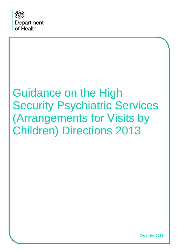

# Guidance on the High Security Psychiatric Services (Arrangements for Visits by Children) Directions 2013

December 2013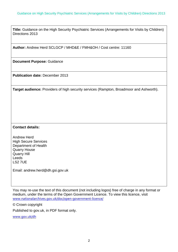**Title:** Guidance on the High Security Psychiatric Services (Arrangements for Visits by Children) Directions 2013

**Author:** Andrew Herd SCLGCP / MHD&E / FMH&OH / Cost centre: 11160

**Document Purpose:** Guidance

**Publication date:** December 2013

**Target audience:** Providers of high security services (Rampton, Broadmoor and Ashworth).

#### **Contact details:**

Andrew Herd High Secure Services Department of Health Quarry House Quarry Hill Leeds LS2 7UE

Email: andrew.herd@dh.gsi.gov.uk

You may re-use the text of this document (not including logos) free of charge in any format or medium, under the terms of the Open Government Licence. To view this licence, visit [www.nationalarchives.gov.uk/doc/open-government-licence/](http://www.nationalarchives.gov.uk/doc/open-government-licence/)

© Crown copyright

Published to gov.uk, in PDF format only.

[www.gov.uk/dh](http://www.gov.uk/dh)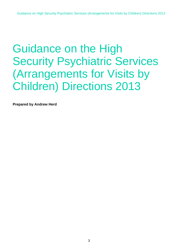## Guidance on the High Security Psychiatric Services (Arrangements for Visits by Children) Directions 2013

**Prepared by Andrew Herd**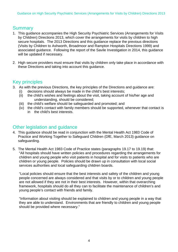## **Summary**

- 1. This guidance accompanies the High Security Psychiatric Services (Arrangements for Visits by Children) Directions 2013, which cover the arrangements for visits by children to high secure hospitals. The 2013 Directions and this guidance replace the previous directions (Visits by Children to Ashworth, Broadmoor and Rampton Hospitals Directions 1999) and associated guidance. Following the report of the Savile Investigation in 2014, this guidance will be updated if necessary.
- 2. High secure providers must ensure that visits by children only take place in accordance with these Directions and taking into account this guidance.

## Key principles

- 3. As with the previous Directions, the key principles of the Directions and guidance are:
	- (i) decisions should always be made in the child's best interests;
	- (ii) the child's wishes and feelings about the visit, taking account of his/her age and understanding, should be considered;
	- (iii) the child's welfare should be safeguarded and promoted; and
	- (iv) the child's contact with family members should be supported, whenever that contact is in the child's best interests.

#### Other legislation and guidance

- 4. This guidance should be read in conjunction with the Mental Health Act 1983 Code of Practice and Working Together to Safeguard Children (DfE, March 2013) guidance on safeguarding.
- 5. The Mental Health Act 1983 Code of Practice states (paragraphs 19.17 to 19.19) that: "All hospitals should have written policies and procedures regarding the arrangements for children and young people who visit patients in hospital and for visits to patients who are children or young people. Policies should be drawn up in consultation with local social services authorities and local safeguarding children boards.

"Local policies should ensure that the best interests and safety of the children and young people concerned are always considered and that visits by or to children and young people are not allowed if they are not in their best interests. However, within that overarching framework, hospitals should do all they can to facilitate the maintenance of children's and young people's contact with friends and family.

"Information about visiting should be explained to children and young people in a way that they are able to understand. Environments that are friendly to children and young people should be provided where necessary."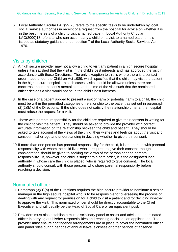6. Local Authority Circular LAC(99)23 refers to the specific tasks to be undertaken by local social service authorities in receipt of a request from the hospital for advice on whether it is in the best interests of a child to visit a named patient. Local Authority Circular LAC(2000)18 refers to who can accompany a child on a visit to a named patient. It is issued as statutory guidance under section 7 of the Local Authority Social Services Act 1970.

## Visits by children

- 7. A high secure provider may not allow a child to visit any patient in a high secure hospital unless it is satisfied that the visit is in the child's best interests and has approved the visit in accordance with these Directions. The only exception to this is where there is a contact order made under the Children Act 1989, which specifies that the child may visit the patient in the high secure hospital. In such cases, visits should be allowed unless there are concerns about a patient's mental state at the time of the visit such that the nominated officer decides a visit would not be in the child's best interests.
- 8. In the case of a patient judged to present a risk of harm or potential harm to a child, the child must be within the permitted categories of relationship to the patient as set out in paragraph (2)(2)(b) of the Directions. If the child does not satisfy the relationship criteria, the hospital must refuse the request for a visit.
- 9. Those with parental responsibility for the child are required to give their consent in writing for the child to visit the patient. They should be asked to provide the provider with correct, accurate information on the relationship between the child and patient. They should be asked to take account of the views of the child, their wishes and feelings about the visit and consider his/her age and understanding in deciding whether to give their consent.
- 10.If more than one person has parental responsibility for the child, it is the person with parental responsibility with whom the child lives who is required to give their consent, though consideration should be given to seeking the views of the person sharing parental responsibility. If, however, the child is subject to a care order, it is the designated local authority in whose care the child is placed, who is required to give consent. The local authority should consult with those persons who share parental responsibility before reaching a decision.

## Nominated officer

- 11.Paragraph (3)(1)(a) of the Directions requires the high secure provider to nominate a senior manager in the high secure hospital who is to be responsible for overseeing the process of dealing with any request for permission for a child to visit a patient and for deciding whether to approve the visit. This nominated officer should be directly accountable to the Chief Executive, and will usually be the Head of Social Care or an equivalent post.
- 12.Providers must also establish a multi-disciplinary panel to assist and advise the nominated officer in carrying out his/her responsibilities and reaching decisions on applications. The provider must ensure contingency arrangements are in place to cover the nominated officer and panel roles during periods of annual leave, sickness or other periods of absence.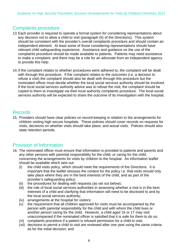## Complaints procedure

- 13.Each provider is required to operate a formal system for considering representations about any decision not to allow a child to visit (paragraph (5) of the Directions). This system should be consistent with the provider's overall complaints procedure and should contain an independent element. At least some of those considering representations should have relevant child safeguarding experience. Assistance and guidance on the use of the complaints procedure should be made available to patients. Patients may need assistance to make a complaint, and there may be a role for an advocate from an independent agency to provide this help.
- 14.If the complaint relates to whether procedures were adhered to, the complaint will be dealt with through this procedure. If the complaint relates to the outcomes (i.e. a decision to refuse a visit) the complaint should also be dealt with through this procedure but the nominated officer must decide whether the local social services authority should be involved. If the local social services authority advice was to refuse the visit, the complaint should be copied to them to investigate via their local authority complaints procedure. The local social services authority will be expected to share the outcome of its investigation with the hospital.

#### Records

15. Providers should have clear policies on record-keeping in relation to the arrangements for children visiting high secure hospitals. These policies should cover records on requests for visits, decisions on whether visits should take place, and actual visits. Policies should also state retention periods.

## Provision of Information

- 16. The nominated officer must ensure that information is provided to patients and parents and any other persons with parental responsibility for the child, or caring for the child, concerning the arrangements for visits by children to the hospital. An information leaflet should be available which sets out:
	- (i) the child visits policy, which should meet the requirements of the Directions. It is important that the leaflet stresses the context for the policy i.e. that visits should only take place where they are in the best interests of the child, and as part of the provider's safeguarding policy;
	- (ii) the procedures for dealing with requests (as set out below);
	- (iii) the role of local social services authorities in assessing whether a visit is in the best interests of a child and clarifying that information will need to be disclosed to and by the local social services authority;
	- (iv) arrangements at the hospital for visitors;
	- (v) the requirement that all children approved for visits must be accompanied by the person with parental responsibility for the child and with whom the child lives or another person caring for the child. However, a child aged 16 or 17 may visit unaccompanied if the nominated officer is satisfied that it is safe for them to do so;
	- (vi) complaints procedure if a patient is refused permission for a child to visit;
	- (vii) decisions to permit a child to visit are reviewed after one year using the same criteria as for the initial decision; and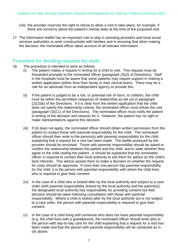- (viii) the provider reserves the right to refuse to allow a visit to take place, for example, if there are concerns about the patient's mental state at the time of the proposed visit.
- 17. The information leaflet has an important role to play in assisting providers and local social services authorities to work constructively with families and in ensuring that when making the decision, the nominated officer takes account of all relevant information.

#### Procedure for deciding requests for visits

- 18. The procedure is intended to work as follows:
	- (i) The patient makes a request in writing for a child to visit. This request must be forwarded promptly to the nominated officer (paragraph (3)(2) of Directions). Staff in the hospitals must be aware that some patients may require support in making a written application (either from their family or their clinical team). There may be a role for an advocate from an independent agency to provide this.
	- (ii) If the patient is judged to be a risk, or potential risk of harm, to children, the child must be within the permitted categories of relationship as set out in paragraph (2)(2)(b) of the Directions. If it is clear from the written application that the child does not satisfy the relationship criteria, the nominated officer must refuse the visit (paragraph (3)(11) of the Directions). The nominated officer must notify the patient in writing of the decision and reasons for it. However, the patient has no right to make representations against this decision.
	- (iii) If (ii) does not apply, the nominated officer should obtain written permission from the patient to contact those with parental responsibility for the child. The nominated officer should then write to the person(s) with parental responsibility for the child explaining that a request for a visit has been made. The leaflet produced by the provider should be enclosed. Those with parental responsibility should be asked to confirm the relationship between the patient and the child, and to state whether they agree to the child visiting the patient. It should be explained that the nominated officer is required to contact their local authority to ask them for advice on the child's best interests. This advice assists them to make a decision on whether the request for visits should be approved. If more than one person has parental responsibility for the child, it is the person with parental responsibility with whom the child lives who is required to give their consent.
	- (iv) In the case of a child who is looked after by the local authority and subject to a care order (with parental responsibility shared by the local authority and the parent(s)), the designated local authority has responsibility for providing consent but their decision should be taken following consultation with those with parental responsibility. Where a child is looked after by the local authority but is not subject to a care order, the person with parental responsibility is required to give their consent.
	- (v) In the case of a child living with someone who does not have parental responsibility (e.g. the child lives with a grandparent), the nominated officer should write also to the person with day-to-day care for the child explaining that a request for a visit has been made and that the person with parental responsibility will be contacted as in (iii) above.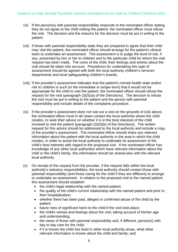- (vi) If the person(s) with parental responsibility responds to the nominated officer stating they do not agree to the child visiting the patient, the nominated officer must refuse the visit. The decision and the reasons for the decision must be put in writing to the patient.
- (vii) If those with parental responsibility state they are prepared to agree that their child may visit the patient, the nominated officer should arrange for the patient's clinical team to undertake an assessment. This assessment is to judge the level of risk, if any, presented by him or her to children and to the particular child for whom the visit request has been made. The voice of the child, their feelings and wishes about the visit should be taken into account. Procedures for undertaking this type of assessment should be agreed with both the local authority children's services departments and local safeguarding children's boards.
- (viii) If the provider's assessment indicates that the patient's mental health state and/or risk to children is such (in the immediate or longer-term) that it would not be appropriate for the child to visit the patient, the nominated officer should refuse the request for the visit (paragraph (3)(5)(a) of the Directions). The decision to refuse the visit must be put in writing to the patient and the person with parental responsibility and include details of the complaints procedure.
- (ix) If the provider's assessment does not rule out a visit on the grounds of (viii) above, the nominated officer must in all cases contact the local authority where the child resides, to seek their advice on whether it is in the best interests of the child involved to visit the patient (paragraph (3)(5)(b) of the Directions). The written request for this advice should be addressed to the local authority and include a copy of the provider's assessment. The nominated officer should share any relevant information about the patient with the local authority in the area in which the child resides, in order to assist the local authority to undertake its assessment of the child's best interests with regard to the proposed visit. If the nominated officer has knowledge of any other local authorities which have relevant information about the child or the child's family, this information should be shared also with the relevant local authority.
- (x) On receipt of the request from the provider, if the request falls within the local authority's statutory responsibilities, the local authority should contact those with parental responsibility (and those caring for the child if they are different) to arrange to undertake an assessment. In relation to the proposed visit to the named patient, this assessment should establish:
	- the child's legal relationship with the named patient;
	- the quality of the child's current relationship with the named patient and prior to their hospitalisation;
	- whether there has been past, alleged or confirmed abuse of the child by the patient;
	- future risks of significant harm to the child if the visit took place;
	- the child's wishes and feelings about the visit, taking account of his/her age and understanding;
	- the views of those with parental responsibility and, if different, person(s) with day to day care for the child;
	- if it is known the child has lived in other local authority areas, what other relevant information is known about the child and family; and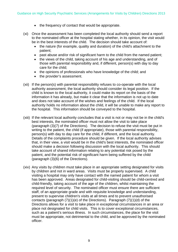- the frequency of contact that would be appropriate.
- (xi) Once the assessment has been completed the local authority should send a report to the nominated officer at the hospital stating whether, in its opinion, the visit would be in the best interests of the child. The decision should take account of:
	- the nature (for example, quality and duration) of the child's attachment to the patient;
	- past abuse and/or risk of significant harm to the child from the named patient;
	- the views of the child, taking account of his age and understanding, and of those with parental responsibility and, if different, person(s) with day to day care for the child;
	- the opinions of professionals who have knowledge of the child; and
	- the provider's assessment.
- (xii) If the person(s) with parental responsibility refuses to co-operate with the local authority assessment, the local authority should consider its legal position. If the child is known to the local authority, it could make its report on the basis of the information it has already, but make it clear that the information is not up to date and does not take account of the wishes and feelings of the child. If the local authority holds no information about the child, it will be unable to make any report to the hospital. This information should be conveyed to the hospital.
- (xiii) If the relevant local authority concludes that a visit is not or may not be in the child's best interests, the nominated officer must not allow the visit to take place (paragraph (3)(7) of the Directions). The decision to refuse the visit must be put in writing to the patient, the child (if appropriate), those with parental responsibility, person(s) with day to day care for the child, if different, and the local authority. Details of the complaints procedure should be given. If the local authority advises that, in their view, a visit would be in the child's best interests, the nominated officer should make a decision following discussion with the local authority. This should take account of shared information relating to any potential risk posed by the patient, and the potential risk of significant harm being suffered by the child (paragraph (3)(6) of the Directions).
- (xiv) Any visits by children must take place in an appropriate setting designated for visits by children and not in ward areas. Visits must be properly supervised. A child visiting a hospital may only have contact with the named patient for whom a visit has been approved. Areas designated for child-visiting should be child-centred and child-friendly, taking account of the age of the children, whilst maintaining the required level of security. The nominated officer must ensure there are sufficient staff, of an appropriate grade and with requisite knowledge and understanding, present to supervise children's visits at all times and to prevent unauthorised contacts (paragraph (7)(1)(e) of the Directions). Paragraph (7)(1)(d) of the Directions allows for a visit to take place in exceptional circumstances in an area or place not designated for child visits. This is to cover exceptional circumstances, such as a patient's serious illness. In such circumstances, the place for the visit must be appropriate, not detrimental to the child, and be approved by the nominated officer.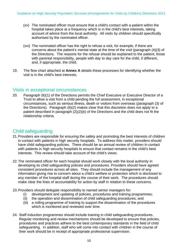- (xv) The nominated officer must ensure that a child's contact with a patient within the hospital takes place at a frequency which is in the child's best interests, taking account of advice from the local authority. All visits by children should specifically authorised by the nominated officer.
- (xvi) The nominated officer has the right to refuse a visit, for example, if there are concerns about the patient's mental state at the time of the visit (paragraph (4)(3) of the Directions. The reasons for the refusal should be explained to the patient, those with parental responsibility, people with day to day care for the child, if different, and, if appropriate, the child.
- 19. The flow chart attached at **Annex A** details these processes for identifying whether the visit is in the child's best interests.

#### Visits in exceptional circumstances

20. Paragraph (6)(1) of the Directions permits the Chief Executive or Executive Director of a Trust to allow a visit from a child pending the full assessment, in exceptional circumstances, such as serious illness, death or visitors from overseas (paragraph (3) of the Directions). Paragraph (6)(2) makes clear that this discretion does not apply to a patient described in paragraph (2)(2)(b) of the Directions and the child does not fit the relationship criteria.

#### Child safeguarding

- 21.Providers are responsible for ensuring the safety and promoting the best interests of children in contact with patients in high security hospitals. To address this matter, providers should have child safeguarding policies. There should be an annual review of children in contact with patients in high security hospitals to ensure that contact remains in the child's best interests. This review should take account of the child's views.
- 22.The nominated officer for each hospital should work closely with the local authority in developing its child safeguarding policies and procedures. Providers should have agreed consistent procedures across all sites. They should include the management of any information giving rise to concern about a child's welfare or protection which is disclosed to any member of the hospital staff during the course of their work. The procedures should make clear the lines of accountability for action by staff in relation to these concerns.
- 23.Providers should delegate responsibility to named senior managers for:
	- (i) development and updating of policies, procedures and training programmes;
	- (ii) the operation and dissemination of child safeguarding procedures; and
	- (iii) a rolling programme of training to support the dissemination of the procedures which is monitored and reviewed over time.
- 24. Staff induction programmes should include training in child safeguarding procedures. Regular monitoring and review mechanisms should be developed to ensure that policies, procedures and practices adhere to the best contemporary standards in the field of child safeguarding. In addition, staff who will come into contact with children in the course of their work should be in receipt of appropriate professional supervision.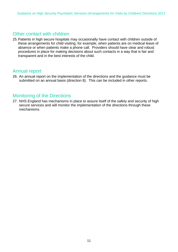#### Other contact with children

25.Patients in high secure hospitals may occasionally have contact with children outside of these arrangements for child visiting, for example, when patients are on medical leave of absence or when patients make a phone call. Providers should have clear and robust procedures in place for making decisions about such contacts in a way that is fair and transparent and in the best interests of the child.

#### Annual report

26. An annual report on the implementation of the directions and the guidance must be submitted on an annual basis (direction 8). This can be included in other reports.

#### Monitoring of the Directions

27. NHS England has mechanisms in place to assure itself of the safety and security of high secure services and will monitor the implementation of the directions through these mechanisms.